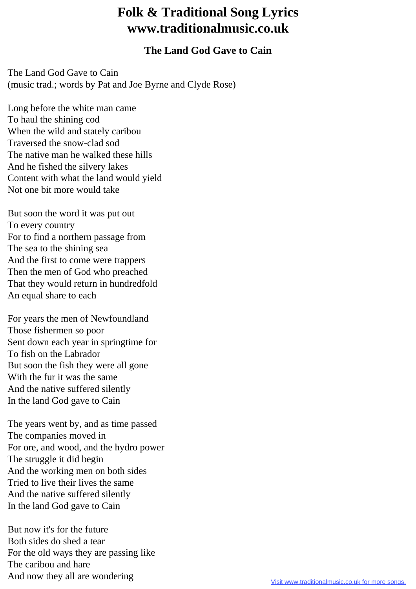## **Folk & Traditional Song Lyrics www.traditionalmusic.co.uk**

## **The Land God Gave to Cain**

The Land God Gave to Cain (music trad.; words by Pat and Joe Byrne and Clyde Rose)

Long before the white man came To haul the shining cod When the wild and stately caribou Traversed the snow-clad sod The native man he walked these hills And he fished the silvery lakes Content with what the land would yield Not one bit more would take

But soon the word it was put out To every country For to find a northern passage from The sea to the shining sea And the first to come were trappers Then the men of God who preached That they would return in hundredfold An equal share to each

For years the men of Newfoundland Those fishermen so poor Sent down each year in springtime for To fish on the Labrador But soon the fish they were all gone With the fur it was the same And the native suffered silently In the land God gave to Cain

The years went by, and as time passed The companies moved in For ore, and wood, and the hydro power The struggle it did begin And the working men on both sides Tried to live their lives the same And the native suffered silently In the land God gave to Cain

But now it's for the future Both sides do shed a tear For the old ways they are passing like The caribou and hare And now they all are wondering